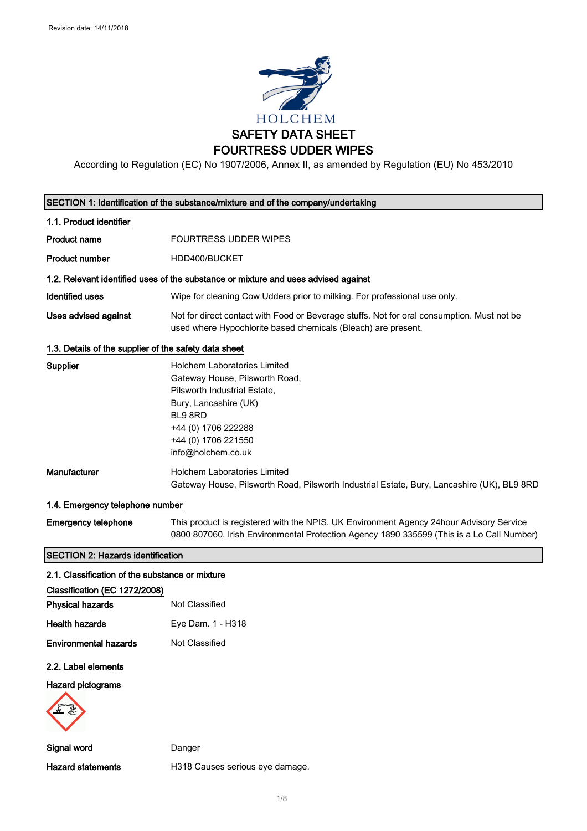

According to Regulation (EC) No 1907/2006, Annex II, as amended by Regulation (EU) No 453/2010

|                                                       | SECTION 1: Identification of the substance/mixture and of the company/undertaking                                                                                                                             |
|-------------------------------------------------------|---------------------------------------------------------------------------------------------------------------------------------------------------------------------------------------------------------------|
| 1.1. Product identifier                               |                                                                                                                                                                                                               |
| <b>Product name</b>                                   | <b>FOURTRESS UDDER WIPES</b>                                                                                                                                                                                  |
| <b>Product number</b>                                 | HDD400/BUCKET                                                                                                                                                                                                 |
|                                                       | 1.2. Relevant identified uses of the substance or mixture and uses advised against                                                                                                                            |
| <b>Identified uses</b>                                | Wipe for cleaning Cow Udders prior to milking. For professional use only.                                                                                                                                     |
| Uses advised against                                  | Not for direct contact with Food or Beverage stuffs. Not for oral consumption. Must not be<br>used where Hypochlorite based chemicals (Bleach) are present.                                                   |
| 1.3. Details of the supplier of the safety data sheet |                                                                                                                                                                                                               |
| Supplier                                              | <b>Holchem Laboratories Limited</b><br>Gateway House, Pilsworth Road,<br>Pilsworth Industrial Estate,<br>Bury, Lancashire (UK)<br>BL9 8RD<br>+44 (0) 1706 222288<br>+44 (0) 1706 221550<br>info@holchem.co.uk |
| Manufacturer                                          | <b>Holchem Laboratories Limited</b><br>Gateway House, Pilsworth Road, Pilsworth Industrial Estate, Bury, Lancashire (UK), BL9 8RD                                                                             |
| 1.4. Emergency telephone number                       |                                                                                                                                                                                                               |
| <b>Emergency telephone</b>                            | This product is registered with the NPIS. UK Environment Agency 24hour Advisory Service<br>0800 807060. Irish Environmental Protection Agency 1890 335599 (This is a Lo Call Number)                          |
| <b>SECTION 2: Hazards identification</b>              |                                                                                                                                                                                                               |
| 2.1. Classification of the substance or mixture       |                                                                                                                                                                                                               |
| Classification (EC 1272/2008)                         |                                                                                                                                                                                                               |
| <b>Physical hazards</b>                               | Not Classified                                                                                                                                                                                                |
| <b>Health hazards</b>                                 | Eye Dam. 1 - H318                                                                                                                                                                                             |
| <b>Environmental hazards</b>                          | Not Classified                                                                                                                                                                                                |
| 2.2. Label elements                                   |                                                                                                                                                                                                               |
| <b>Hazard pictograms</b>                              |                                                                                                                                                                                                               |
| Signal word                                           | Danger                                                                                                                                                                                                        |
| <b>Hazard statements</b>                              | H318 Causes serious eye damage.                                                                                                                                                                               |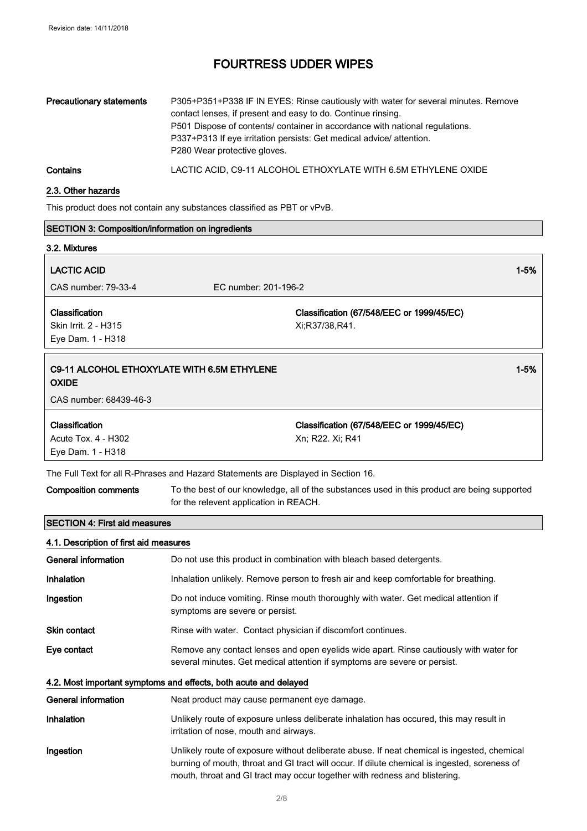| Precautionary statements | P305+P351+P338 IF IN EYES: Rinse cautiously with water for several minutes. Remove<br>contact lenses, if present and easy to do. Continue rinsing.<br>P501 Dispose of contents/ container in accordance with national regulations.<br>P337+P313 If eye irritation persists: Get medical advice/attention.<br>P280 Wear protective gloves. |
|--------------------------|-------------------------------------------------------------------------------------------------------------------------------------------------------------------------------------------------------------------------------------------------------------------------------------------------------------------------------------------|
| Contains                 | LACTIC ACID, C9-11 ALCOHOL ETHOXYLATE WITH 6.5M ETHYLENE OXIDE                                                                                                                                                                                                                                                                            |

### 2.3. Other hazards

This product does not contain any substances classified as PBT or vPvB.

| <b>SECTION 3: Composition/information on ingredients</b>                              |                                                                                    |                                                                                                                                                                                                                                                                            |          |
|---------------------------------------------------------------------------------------|------------------------------------------------------------------------------------|----------------------------------------------------------------------------------------------------------------------------------------------------------------------------------------------------------------------------------------------------------------------------|----------|
| 3.2. Mixtures                                                                         |                                                                                    |                                                                                                                                                                                                                                                                            |          |
| <b>LACTIC ACID</b>                                                                    |                                                                                    |                                                                                                                                                                                                                                                                            | $1 - 5%$ |
| CAS number: 79-33-4                                                                   | EC number: 201-196-2                                                               |                                                                                                                                                                                                                                                                            |          |
| Classification<br>Skin Irrit. 2 - H315<br>Eye Dam. 1 - H318                           |                                                                                    | Classification (67/548/EEC or 1999/45/EC)<br>Xi;R37/38,R41.                                                                                                                                                                                                                |          |
| C9-11 ALCOHOL ETHOXYLATE WITH 6.5M ETHYLENE<br><b>OXIDE</b><br>CAS number: 68439-46-3 |                                                                                    |                                                                                                                                                                                                                                                                            | $1 - 5%$ |
| Classification<br>Acute Tox. 4 - H302                                                 |                                                                                    | Classification (67/548/EEC or 1999/45/EC)<br>Xn; R22. Xi; R41                                                                                                                                                                                                              |          |
| Eye Dam. 1 - H318                                                                     |                                                                                    |                                                                                                                                                                                                                                                                            |          |
|                                                                                       | The Full Text for all R-Phrases and Hazard Statements are Displayed in Section 16. |                                                                                                                                                                                                                                                                            |          |
| <b>Composition comments</b>                                                           | for the relevent application in REACH.                                             | To the best of our knowledge, all of the substances used in this product are being supported                                                                                                                                                                               |          |
| <b>SECTION 4: First aid measures</b>                                                  |                                                                                    |                                                                                                                                                                                                                                                                            |          |
| 4.1. Description of first aid measures                                                |                                                                                    |                                                                                                                                                                                                                                                                            |          |
| General information                                                                   |                                                                                    | Do not use this product in combination with bleach based detergents.                                                                                                                                                                                                       |          |
| Inhalation                                                                            |                                                                                    | Inhalation unlikely. Remove person to fresh air and keep comfortable for breathing.                                                                                                                                                                                        |          |
| Ingestion                                                                             | symptoms are severe or persist.                                                    | Do not induce vomiting. Rinse mouth thoroughly with water. Get medical attention if                                                                                                                                                                                        |          |
| <b>Skin contact</b>                                                                   | Rinse with water. Contact physician if discomfort continues.                       |                                                                                                                                                                                                                                                                            |          |
| Eye contact                                                                           |                                                                                    | Remove any contact lenses and open eyelids wide apart. Rinse cautiously with water for<br>several minutes. Get medical attention if symptoms are severe or persist.                                                                                                        |          |
|                                                                                       | 4.2. Most important symptoms and effects, both acute and delayed                   |                                                                                                                                                                                                                                                                            |          |
| <b>General information</b>                                                            | Neat product may cause permanent eye damage.                                       |                                                                                                                                                                                                                                                                            |          |
| Inhalation                                                                            | irritation of nose, mouth and airways.                                             | Unlikely route of exposure unless deliberate inhalation has occured, this may result in                                                                                                                                                                                    |          |
| Ingestion                                                                             |                                                                                    | Unlikely route of exposure without deliberate abuse. If neat chemical is ingested, chemical<br>burning of mouth, throat and GI tract will occur. If dilute chemical is ingested, soreness of<br>mouth, throat and GI tract may occur together with redness and blistering. |          |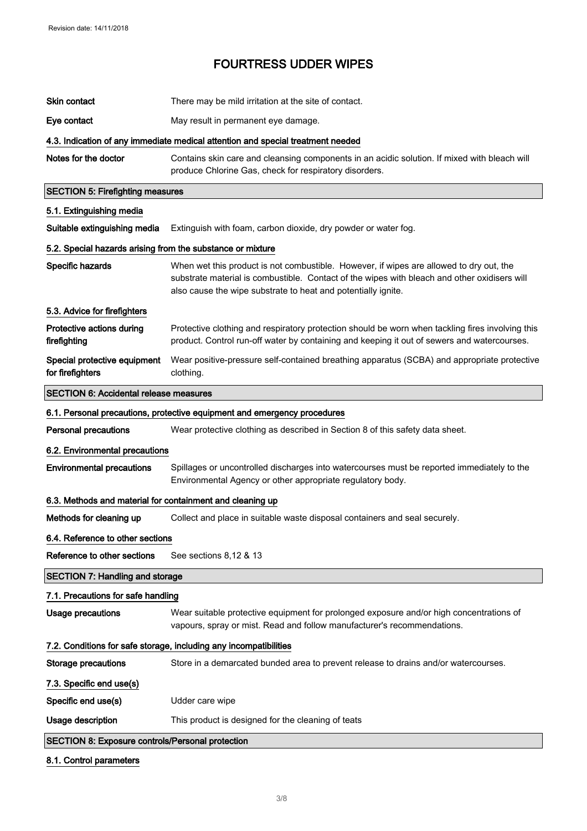| <b>Skin contact</b>                                        | There may be mild irritation at the site of contact.                                                                                                                                                                                                     |
|------------------------------------------------------------|----------------------------------------------------------------------------------------------------------------------------------------------------------------------------------------------------------------------------------------------------------|
| Eye contact                                                | May result in permanent eye damage.                                                                                                                                                                                                                      |
|                                                            | 4.3. Indication of any immediate medical attention and special treatment needed                                                                                                                                                                          |
| Notes for the doctor                                       | Contains skin care and cleansing components in an acidic solution. If mixed with bleach will<br>produce Chlorine Gas, check for respiratory disorders.                                                                                                   |
| <b>SECTION 5: Firefighting measures</b>                    |                                                                                                                                                                                                                                                          |
| 5.1. Extinguishing media                                   |                                                                                                                                                                                                                                                          |
| Suitable extinguishing media                               | Extinguish with foam, carbon dioxide, dry powder or water fog.                                                                                                                                                                                           |
| 5.2. Special hazards arising from the substance or mixture |                                                                                                                                                                                                                                                          |
| Specific hazards                                           | When wet this product is not combustible. However, if wipes are allowed to dry out, the<br>substrate material is combustible. Contact of the wipes with bleach and other oxidisers will<br>also cause the wipe substrate to heat and potentially ignite. |
| 5.3. Advice for firefighters                               |                                                                                                                                                                                                                                                          |
| Protective actions during<br>firefighting                  | Protective clothing and respiratory protection should be worn when tackling fires involving this<br>product. Control run-off water by containing and keeping it out of sewers and watercourses.                                                          |
| Special protective equipment<br>for firefighters           | Wear positive-pressure self-contained breathing apparatus (SCBA) and appropriate protective<br>clothing.                                                                                                                                                 |
| <b>SECTION 6: Accidental release measures</b>              |                                                                                                                                                                                                                                                          |
|                                                            | 6.1. Personal precautions, protective equipment and emergency procedures                                                                                                                                                                                 |
| <b>Personal precautions</b>                                | Wear protective clothing as described in Section 8 of this safety data sheet.                                                                                                                                                                            |
| 6.2. Environmental precautions                             |                                                                                                                                                                                                                                                          |
| <b>Environmental precautions</b>                           | Spillages or uncontrolled discharges into watercourses must be reported immediately to the<br>Environmental Agency or other appropriate regulatory body.                                                                                                 |
| 6.3. Methods and material for containment and cleaning up  |                                                                                                                                                                                                                                                          |
| Methods for cleaning up                                    | Collect and place in suitable waste disposal containers and seal securely.                                                                                                                                                                               |
| 6.4. Reference to other sections                           |                                                                                                                                                                                                                                                          |
| Reference to other sections                                | See sections 8,12 & 13                                                                                                                                                                                                                                   |
| <b>SECTION 7: Handling and storage</b>                     |                                                                                                                                                                                                                                                          |
| 7.1. Precautions for safe handling                         |                                                                                                                                                                                                                                                          |
| <b>Usage precautions</b>                                   | Wear suitable protective equipment for prolonged exposure and/or high concentrations of<br>vapours, spray or mist. Read and follow manufacturer's recommendations.                                                                                       |
|                                                            | 7.2. Conditions for safe storage, including any incompatibilities                                                                                                                                                                                        |
| <b>Storage precautions</b>                                 | Store in a demarcated bunded area to prevent release to drains and/or watercourses.                                                                                                                                                                      |
| 7.3. Specific end use(s)                                   |                                                                                                                                                                                                                                                          |
| Specific end use(s)                                        | Udder care wipe                                                                                                                                                                                                                                          |
| <b>Usage description</b>                                   | This product is designed for the cleaning of teats                                                                                                                                                                                                       |
| <b>SECTION 8: Exposure controls/Personal protection</b>    |                                                                                                                                                                                                                                                          |
| 8.1. Control parameters                                    |                                                                                                                                                                                                                                                          |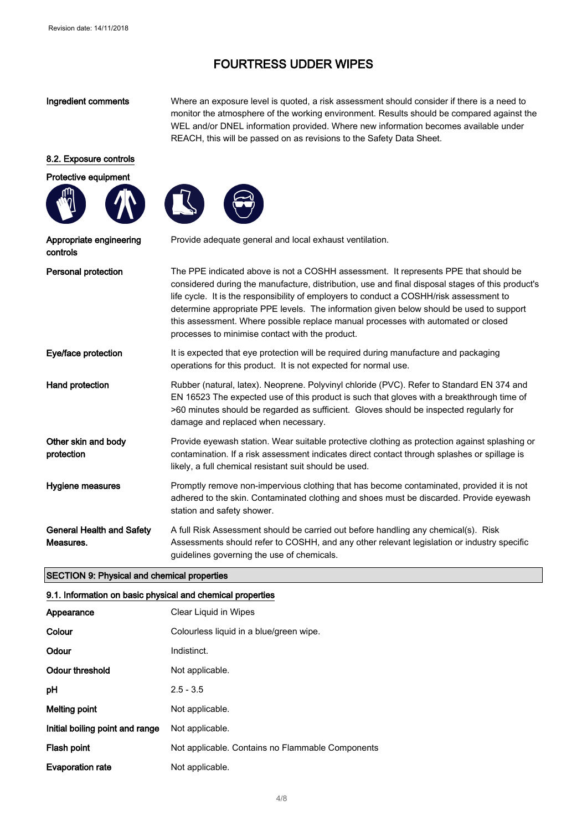Ingredient comments Where an exposure level is quoted, a risk assessment should consider if there is a need to monitor the atmosphere of the working environment. Results should be compared against the WEL and/or DNEL information provided. Where new information becomes available under REACH, this will be passed on as revisions to the Safety Data Sheet.

### 8.2. Exposure controls







| Appropriate engineering<br>controls           | Provide adequate general and local exhaust ventilation.                                                                                                                                                                                                                                                                                                                                                                                                                                                               |
|-----------------------------------------------|-----------------------------------------------------------------------------------------------------------------------------------------------------------------------------------------------------------------------------------------------------------------------------------------------------------------------------------------------------------------------------------------------------------------------------------------------------------------------------------------------------------------------|
| Personal protection                           | The PPE indicated above is not a COSHH assessment. It represents PPE that should be<br>considered during the manufacture, distribution, use and final disposal stages of this product's<br>life cycle. It is the responsibility of employers to conduct a COSHH/risk assessment to<br>determine appropriate PPE levels. The information given below should be used to support<br>this assessment. Where possible replace manual processes with automated or closed<br>processes to minimise contact with the product. |
| Eye/face protection                           | It is expected that eye protection will be required during manufacture and packaging<br>operations for this product. It is not expected for normal use.                                                                                                                                                                                                                                                                                                                                                               |
| Hand protection                               | Rubber (natural, latex). Neoprene. Polyvinyl chloride (PVC). Refer to Standard EN 374 and<br>EN 16523 The expected use of this product is such that gloves with a breakthrough time of<br>>60 minutes should be regarded as sufficient. Gloves should be inspected regularly for<br>damage and replaced when necessary.                                                                                                                                                                                               |
| Other skin and body<br>protection             | Provide eyewash station. Wear suitable protective clothing as protection against splashing or<br>contamination. If a risk assessment indicates direct contact through splashes or spillage is<br>likely, a full chemical resistant suit should be used.                                                                                                                                                                                                                                                               |
| <b>Hygiene measures</b>                       | Promptly remove non-impervious clothing that has become contaminated, provided it is not<br>adhered to the skin. Contaminated clothing and shoes must be discarded. Provide eyewash<br>station and safety shower.                                                                                                                                                                                                                                                                                                     |
| <b>General Health and Safety</b><br>Measures. | A full Risk Assessment should be carried out before handling any chemical(s). Risk<br>Assessments should refer to COSHH, and any other relevant legislation or industry specific<br>guidelines governing the use of chemicals.                                                                                                                                                                                                                                                                                        |
|                                               |                                                                                                                                                                                                                                                                                                                                                                                                                                                                                                                       |

### SECTION 9: Physical and chemical properties

#### 9.1. Information on basic physical and chemical properties

| Appearance                      | Clear Liquid in Wipes                            |
|---------------------------------|--------------------------------------------------|
| Colour                          | Colourless liquid in a blue/green wipe.          |
| Odour                           | Indistinct.                                      |
| <b>Odour threshold</b>          | Not applicable.                                  |
| рH                              | $2.5 - 3.5$                                      |
| Melting point                   | Not applicable.                                  |
| Initial boiling point and range | Not applicable.                                  |
| <b>Flash point</b>              | Not applicable. Contains no Flammable Components |
| <b>Evaporation rate</b>         | Not applicable.                                  |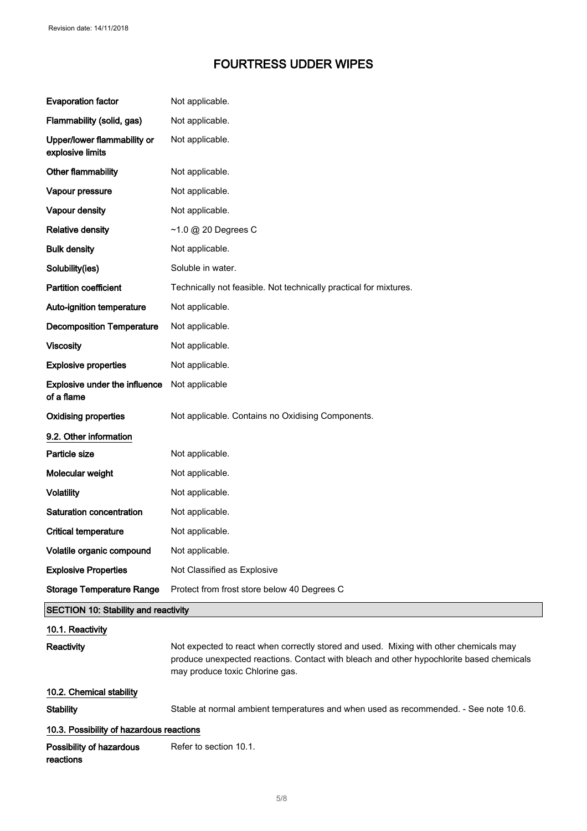| <b>Evaporation factor</b>                          | Not applicable.                                                                                                                                                                                                      |
|----------------------------------------------------|----------------------------------------------------------------------------------------------------------------------------------------------------------------------------------------------------------------------|
| Flammability (solid, gas)                          | Not applicable.                                                                                                                                                                                                      |
| Upper/lower flammability or<br>explosive limits    | Not applicable.                                                                                                                                                                                                      |
| Other flammability                                 | Not applicable.                                                                                                                                                                                                      |
| Vapour pressure                                    | Not applicable.                                                                                                                                                                                                      |
| Vapour density                                     | Not applicable.                                                                                                                                                                                                      |
| <b>Relative density</b>                            | $~1.0$ @ 20 Degrees C                                                                                                                                                                                                |
| <b>Bulk density</b>                                | Not applicable.                                                                                                                                                                                                      |
| Solubility(ies)                                    | Soluble in water.                                                                                                                                                                                                    |
| <b>Partition coefficient</b>                       | Technically not feasible. Not technically practical for mixtures.                                                                                                                                                    |
| Auto-ignition temperature                          | Not applicable.                                                                                                                                                                                                      |
| <b>Decomposition Temperature</b>                   | Not applicable.                                                                                                                                                                                                      |
| <b>Viscosity</b>                                   | Not applicable.                                                                                                                                                                                                      |
| <b>Explosive properties</b>                        | Not applicable.                                                                                                                                                                                                      |
| <b>Explosive under the influence</b><br>of a flame | Not applicable                                                                                                                                                                                                       |
| <b>Oxidising properties</b>                        | Not applicable. Contains no Oxidising Components.                                                                                                                                                                    |
| 9.2. Other information                             |                                                                                                                                                                                                                      |
| Particle size                                      | Not applicable.                                                                                                                                                                                                      |
| Molecular weight                                   | Not applicable.                                                                                                                                                                                                      |
| <b>Volatility</b>                                  | Not applicable.                                                                                                                                                                                                      |
| Saturation concentration                           | Not applicable.                                                                                                                                                                                                      |
| <b>Critical temperature</b>                        | Not applicable.                                                                                                                                                                                                      |
| Volatile organic compound                          | Not applicable.                                                                                                                                                                                                      |
| <b>Explosive Properties</b>                        | Not Classified as Explosive                                                                                                                                                                                          |
| <b>Storage Temperature Range</b>                   | Protect from frost store below 40 Degrees C                                                                                                                                                                          |
| <b>SECTION 10: Stability and reactivity</b>        |                                                                                                                                                                                                                      |
| 10.1. Reactivity                                   |                                                                                                                                                                                                                      |
| Reactivity                                         | Not expected to react when correctly stored and used. Mixing with other chemicals may<br>produce unexpected reactions. Contact with bleach and other hypochlorite based chemicals<br>may produce toxic Chlorine gas. |
| 10.2. Chemical stability                           |                                                                                                                                                                                                                      |
| <b>Stability</b>                                   | Stable at normal ambient temperatures and when used as recommended. - See note 10.6.                                                                                                                                 |
| 10.3. Possibility of hazardous reactions           |                                                                                                                                                                                                                      |
| Possibility of hazardous<br>reactions              | Refer to section 10.1.                                                                                                                                                                                               |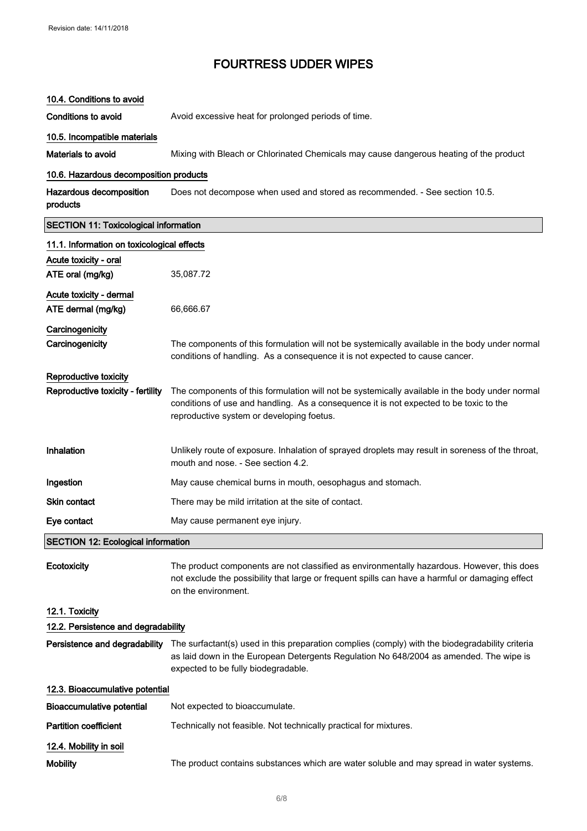#### 10.4. Conditions to avoid

Conditions to avoid **Avoid excessive heat for prolonged periods of time.** 

#### 10.5. Incompatible materials

Materials to avoid Mixing with Bleach or Chlorinated Chemicals may cause dangerous heating of the product

#### 10.6. Hazardous decomposition products

Hazardous decomposition products Does not decompose when used and stored as recommended. - See section 10.5.

# SECTION 11: Toxicological information 11.1. Information on toxicological effects Acute toxicity - oral ATE oral (mg/kg) 35,087.72 Acute toxicity - dermal ATE dermal (mg/kg) 66,666.67 **Carcinogenicity** Carcinogenicity The components of this formulation will not be systemically available in the body under normal conditions of handling. As a consequence it is not expected to cause cancer. Reproductive toxicity Reproductive toxicity - fertility The components of this formulation will not be systemically available in the body under normal conditions of use and handling. As a consequence it is not expected to be toxic to the reproductive system or developing foetus. Inhalation Unlikely route of exposure. Inhalation of sprayed droplets may result in soreness of the throat, mouth and nose. - See section 4.2. **Ingestion** May cause chemical burns in mouth, oesophagus and stomach. Skin contact There may be mild irritation at the site of contact. Eye contact May cause permanent eye injury. SECTION 12: Ecological information Ecotoxicity The product components are not classified as environmentally hazardous. However, this does

not exclude the possibility that large or frequent spills can have a harmful or damaging effect on the environment. 12.1. Toxicity

# 12.2. Persistence and degradability Persistence and degradability The surfactant(s) used in this preparation complies (comply) with the biodegradability criteria as laid down in the European Detergents Regulation No 648/2004 as amended. The wipe is expected to be fully biodegradable. 12.3. Bioaccumulative potential Bioaccumulative potential Not expected to bioaccumulate. Partition coefficient Technically not feasible. Not technically practical for mixtures. 12.4. Mobility in soil

Mobility The product contains substances which are water soluble and may spread in water systems.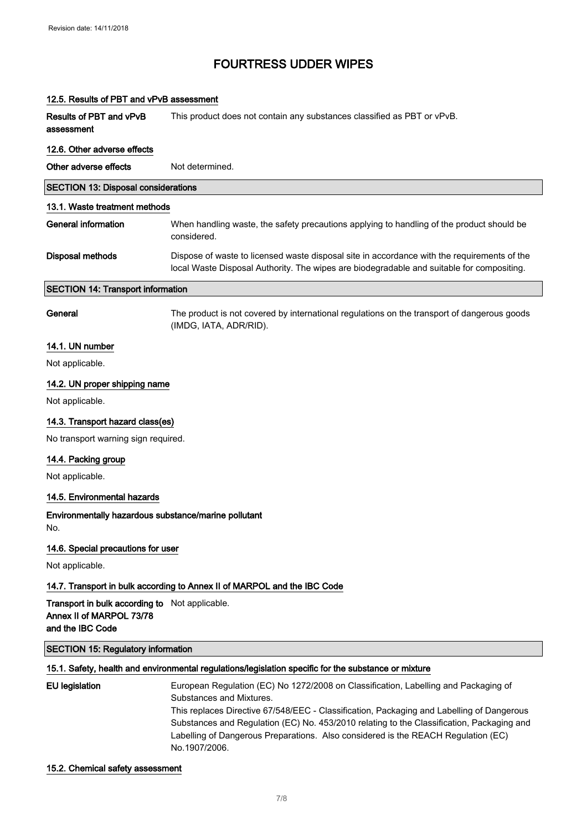12.5. Results of PBT and vPvB assessment

# FOURTRESS UDDER WIPES

| <b>Results of PBT and vPvB</b><br>assessment                                                   | This product does not contain any substances classified as PBT or vPvB.                                                                                                                  |
|------------------------------------------------------------------------------------------------|------------------------------------------------------------------------------------------------------------------------------------------------------------------------------------------|
| 12.6. Other adverse effects                                                                    |                                                                                                                                                                                          |
| Other adverse effects                                                                          | Not determined.                                                                                                                                                                          |
| <b>SECTION 13: Disposal considerations</b>                                                     |                                                                                                                                                                                          |
| 13.1. Waste treatment methods                                                                  |                                                                                                                                                                                          |
| <b>General information</b>                                                                     | When handling waste, the safety precautions applying to handling of the product should be<br>considered.                                                                                 |
| <b>Disposal methods</b>                                                                        | Dispose of waste to licensed waste disposal site in accordance with the requirements of the<br>local Waste Disposal Authority. The wipes are biodegradable and suitable for compositing. |
| <b>SECTION 14: Transport information</b>                                                       |                                                                                                                                                                                          |
| General                                                                                        | The product is not covered by international regulations on the transport of dangerous goods<br>(IMDG, IATA, ADR/RID).                                                                    |
| 14.1. UN number                                                                                |                                                                                                                                                                                          |
| Not applicable.                                                                                |                                                                                                                                                                                          |
| 14.2. UN proper shipping name                                                                  |                                                                                                                                                                                          |
| Not applicable.                                                                                |                                                                                                                                                                                          |
| 14.3. Transport hazard class(es)                                                               |                                                                                                                                                                                          |
| No transport warning sign required.                                                            |                                                                                                                                                                                          |
| 14.4. Packing group                                                                            |                                                                                                                                                                                          |
| Not applicable.                                                                                |                                                                                                                                                                                          |
| 14.5. Environmental hazards                                                                    |                                                                                                                                                                                          |
| Environmentally hazardous substance/marine pollutant<br>No.                                    |                                                                                                                                                                                          |
| 14.6. Special precautions for user                                                             |                                                                                                                                                                                          |
| Not applicable.                                                                                |                                                                                                                                                                                          |
|                                                                                                | 14.7. Transport in bulk according to Annex II of MARPOL and the IBC Code                                                                                                                 |
| Transport in bulk according to Not applicable.<br>Annex II of MARPOL 73/78<br>and the IBC Code |                                                                                                                                                                                          |
| <b>SECTION 15: Regulatory information</b>                                                      |                                                                                                                                                                                          |
|                                                                                                | 15.1. Safety, health and environmental regulations/legislation specific for the substance or mixture                                                                                     |
| <b>EU legislation</b>                                                                          | European Regulation (EC) No 1272/2008 on Classification, Labelling and Packaging of<br>Substances and Mixtures.                                                                          |

# This replaces Directive 67/548/EEC - Classification, Packaging and Labelling of Dangerous Substances and Regulation (EC) No. 453/2010 relating to the Classification, Packaging and Labelling of Dangerous Preparations. Also considered is the REACH Regulation (EC)

15.2. Chemical safety assessment

No.1907/2006.